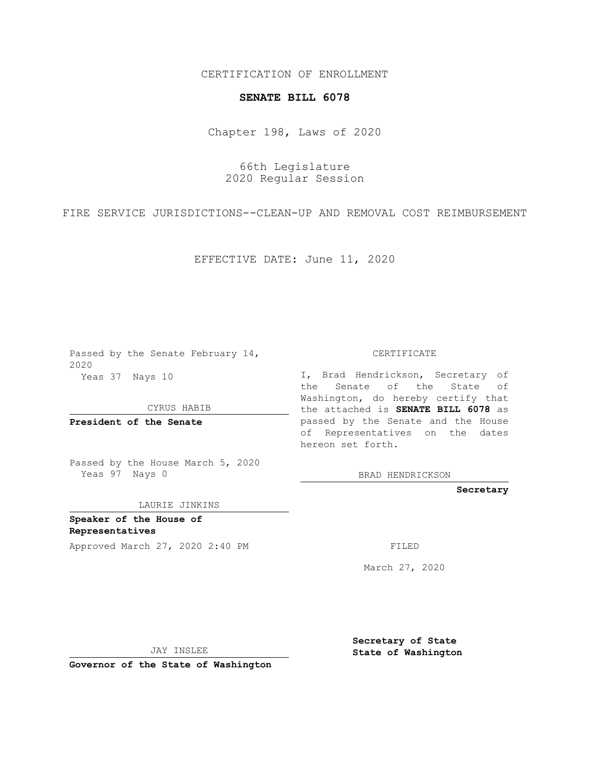## CERTIFICATION OF ENROLLMENT

## **SENATE BILL 6078**

Chapter 198, Laws of 2020

66th Legislature 2020 Regular Session

FIRE SERVICE JURISDICTIONS--CLEAN-UP AND REMOVAL COST REIMBURSEMENT

EFFECTIVE DATE: June 11, 2020

Passed by the Senate February 14, 2020 Yeas 37 Nays 10

CYRUS HABIB

**President of the Senate**

Passed by the House March 5, 2020 Yeas 97 Nays 0

LAURIE JINKINS

**Speaker of the House of Representatives**

Approved March 27, 2020 2:40 PM

CERTIFICATE

I, Brad Hendrickson, Secretary of the Senate of the State of Washington, do hereby certify that the attached is **SENATE BILL 6078** as passed by the Senate and the House of Representatives on the dates hereon set forth.

BRAD HENDRICKSON

**Secretary**

March 27, 2020

JAY INSLEE

**Governor of the State of Washington**

**Secretary of State State of Washington**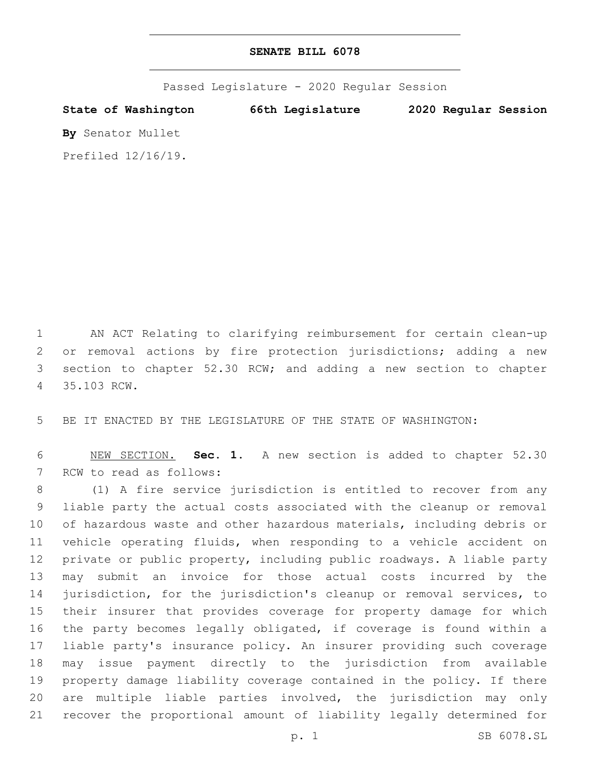Passed Legislature - 2020 Regular Session

**State of Washington 66th Legislature 2020 Regular Session By** Senator Mullet Prefiled 12/16/19.

 AN ACT Relating to clarifying reimbursement for certain clean-up or removal actions by fire protection jurisdictions; adding a new section to chapter 52.30 RCW; and adding a new section to chapter 35.103 RCW.4

BE IT ENACTED BY THE LEGISLATURE OF THE STATE OF WASHINGTON:

 NEW SECTION. **Sec. 1.** A new section is added to chapter 52.30 7 RCW to read as follows:

 (1) A fire service jurisdiction is entitled to recover from any liable party the actual costs associated with the cleanup or removal of hazardous waste and other hazardous materials, including debris or vehicle operating fluids, when responding to a vehicle accident on private or public property, including public roadways. A liable party may submit an invoice for those actual costs incurred by the jurisdiction, for the jurisdiction's cleanup or removal services, to their insurer that provides coverage for property damage for which the party becomes legally obligated, if coverage is found within a liable party's insurance policy. An insurer providing such coverage may issue payment directly to the jurisdiction from available property damage liability coverage contained in the policy. If there are multiple liable parties involved, the jurisdiction may only recover the proportional amount of liability legally determined for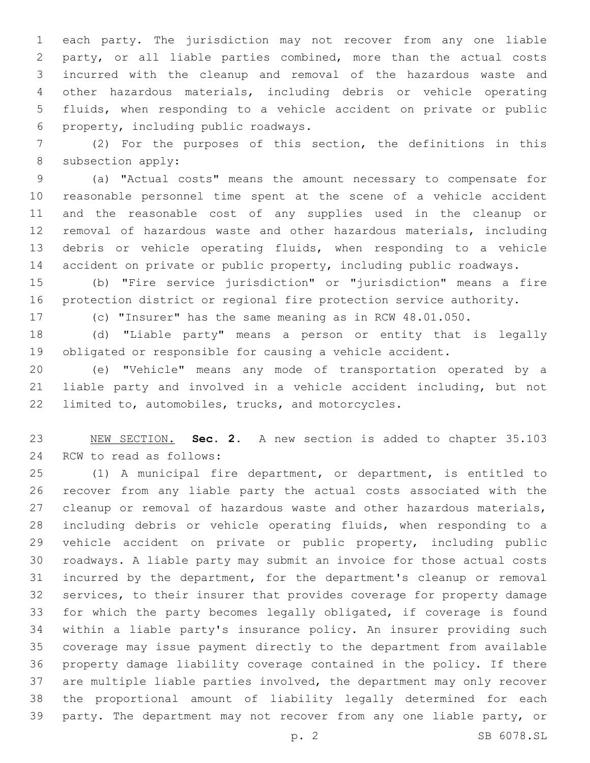each party. The jurisdiction may not recover from any one liable party, or all liable parties combined, more than the actual costs incurred with the cleanup and removal of the hazardous waste and other hazardous materials, including debris or vehicle operating fluids, when responding to a vehicle accident on private or public property, including public roadways.6

 (2) For the purposes of this section, the definitions in this 8 subsection apply:

 (a) "Actual costs" means the amount necessary to compensate for reasonable personnel time spent at the scene of a vehicle accident and the reasonable cost of any supplies used in the cleanup or removal of hazardous waste and other hazardous materials, including debris or vehicle operating fluids, when responding to a vehicle accident on private or public property, including public roadways.

 (b) "Fire service jurisdiction" or "jurisdiction" means a fire protection district or regional fire protection service authority.

(c) "Insurer" has the same meaning as in RCW 48.01.050.

 (d) "Liable party" means a person or entity that is legally obligated or responsible for causing a vehicle accident.

 (e) "Vehicle" means any mode of transportation operated by a liable party and involved in a vehicle accident including, but not 22 limited to, automobiles, trucks, and motorcycles.

 NEW SECTION. **Sec. 2.** A new section is added to chapter 35.103 24 RCW to read as follows:

 (1) A municipal fire department, or department, is entitled to recover from any liable party the actual costs associated with the 27 cleanup or removal of hazardous waste and other hazardous materials, including debris or vehicle operating fluids, when responding to a vehicle accident on private or public property, including public roadways. A liable party may submit an invoice for those actual costs incurred by the department, for the department's cleanup or removal services, to their insurer that provides coverage for property damage for which the party becomes legally obligated, if coverage is found within a liable party's insurance policy. An insurer providing such coverage may issue payment directly to the department from available property damage liability coverage contained in the policy. If there are multiple liable parties involved, the department may only recover the proportional amount of liability legally determined for each party. The department may not recover from any one liable party, or